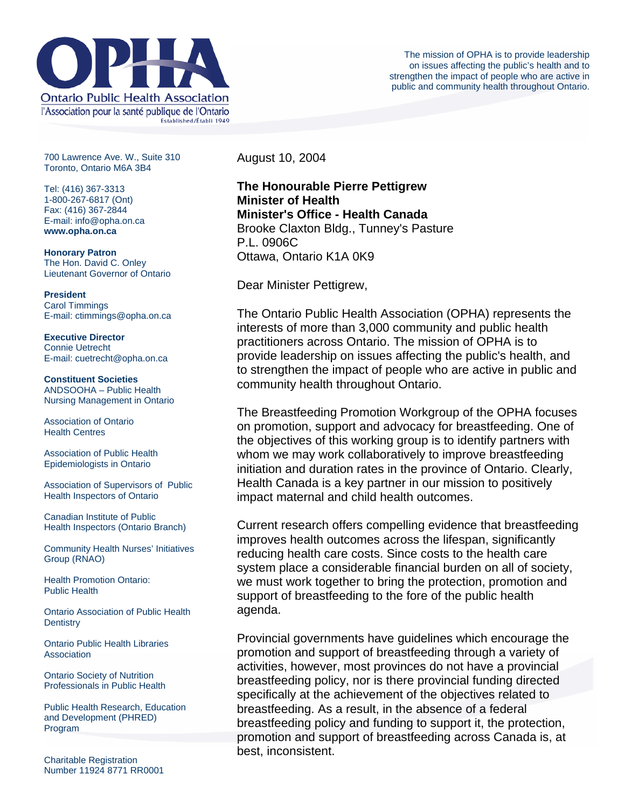

700 Lawrence Ave. W., Suite 310 Toronto, Ontario M6A 3B4

Tel: (416) 367-3313 1-800-267-6817 (Ont) Fax: (416) 367-2844 E-mail: info@opha.on.ca **www.opha.on.ca** 

**Honorary Patron**  The Hon. David C. Onley Lieutenant Governor of Ontario

**President**  Carol Timmings E-mail: ctimmings@opha.on.ca

**Executive Director**  Connie Uetrecht E-mail: cuetrecht@opha.on.ca

**Constituent Societies**  ANDSOOHA – Public Health Nursing Management in Ontario

Association of Ontario Health Centres

Association of Public Health Epidemiologists in Ontario

Association of Supervisors of Public Health Inspectors of Ontario

Canadian Institute of Public Health Inspectors (Ontario Branch)

Community Health Nurses' Initiatives Group (RNAO)

Health Promotion Ontario: Public Health

Ontario Association of Public Health **Dentistry** 

Ontario Public Health Libraries **Association** 

Ontario Society of Nutrition Professionals in Public Health

Public Health Research, Education and Development (PHRED) Program

Charitable Registration Number 11924 8771 RR0001 August 10, 2004

**The Honourable Pierre Pettigrew Minister of Health Minister's Office - Health Canada** Brooke Claxton Bldg., Tunney's Pasture P.L. 0906C Ottawa, Ontario K1A 0K9

Dear Minister Pettigrew,

The Ontario Public Health Association (OPHA) represents the interests of more than 3,000 community and public health practitioners across Ontario. The mission of OPHA is to provide leadership on issues affecting the public's health, and to strengthen the impact of people who are active in public and community health throughout Ontario.

The Breastfeeding Promotion Workgroup of the OPHA focuses on promotion, support and advocacy for breastfeeding. One of the objectives of this working group is to identify partners with whom we may work collaboratively to improve breastfeeding initiation and duration rates in the province of Ontario. Clearly, Health Canada is a key partner in our mission to positively impact maternal and child health outcomes.

Current research offers compelling evidence that breastfeeding improves health outcomes across the lifespan, significantly reducing health care costs. Since costs to the health care system place a considerable financial burden on all of society, we must work together to bring the protection, promotion and support of breastfeeding to the fore of the public health agenda.

Provincial governments have guidelines which encourage the promotion and support of breastfeeding through a variety of activities, however, most provinces do not have a provincial breastfeeding policy, nor is there provincial funding directed specifically at the achievement of the objectives related to breastfeeding. As a result, in the absence of a federal breastfeeding policy and funding to support it, the protection, promotion and support of breastfeeding across Canada is, at best, inconsistent.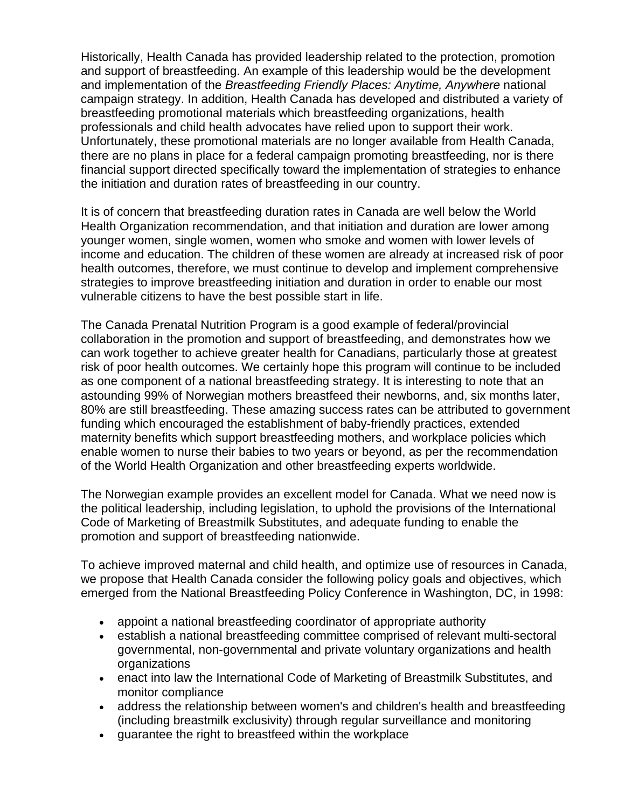Historically, Health Canada has provided leadership related to the protection, promotion and support of breastfeeding. An example of this leadership would be the development and implementation of the *Breastfeeding Friendly Places: Anytime, Anywhere* national campaign strategy. In addition, Health Canada has developed and distributed a variety of breastfeeding promotional materials which breastfeeding organizations, health professionals and child health advocates have relied upon to support their work. Unfortunately, these promotional materials are no longer available from Health Canada, there are no plans in place for a federal campaign promoting breastfeeding, nor is there financial support directed specifically toward the implementation of strategies to enhance the initiation and duration rates of breastfeeding in our country.

It is of concern that breastfeeding duration rates in Canada are well below the World Health Organization recommendation, and that initiation and duration are lower among younger women, single women, women who smoke and women with lower levels of income and education. The children of these women are already at increased risk of poor health outcomes, therefore, we must continue to develop and implement comprehensive strategies to improve breastfeeding initiation and duration in order to enable our most vulnerable citizens to have the best possible start in life.

The Canada Prenatal Nutrition Program is a good example of federal/provincial collaboration in the promotion and support of breastfeeding, and demonstrates how we can work together to achieve greater health for Canadians, particularly those at greatest risk of poor health outcomes. We certainly hope this program will continue to be included as one component of a national breastfeeding strategy. It is interesting to note that an astounding 99% of Norwegian mothers breastfeed their newborns, and, six months later, 80% are still breastfeeding. These amazing success rates can be attributed to government funding which encouraged the establishment of baby-friendly practices, extended maternity benefits which support breastfeeding mothers, and workplace policies which enable women to nurse their babies to two years or beyond, as per the recommendation of the World Health Organization and other breastfeeding experts worldwide.

The Norwegian example provides an excellent model for Canada. What we need now is the political leadership, including legislation, to uphold the provisions of the International Code of Marketing of Breastmilk Substitutes, and adequate funding to enable the promotion and support of breastfeeding nationwide.

To achieve improved maternal and child health, and optimize use of resources in Canada, we propose that Health Canada consider the following policy goals and objectives, which emerged from the National Breastfeeding Policy Conference in Washington, DC, in 1998:

- appoint a national breastfeeding coordinator of appropriate authority
- establish a national breastfeeding committee comprised of relevant multi-sectoral governmental, non-governmental and private voluntary organizations and health organizations
- enact into law the International Code of Marketing of Breastmilk Substitutes, and monitor compliance
- address the relationship between women's and children's health and breastfeeding (including breastmilk exclusivity) through regular surveillance and monitoring
- guarantee the right to breastfeed within the workplace